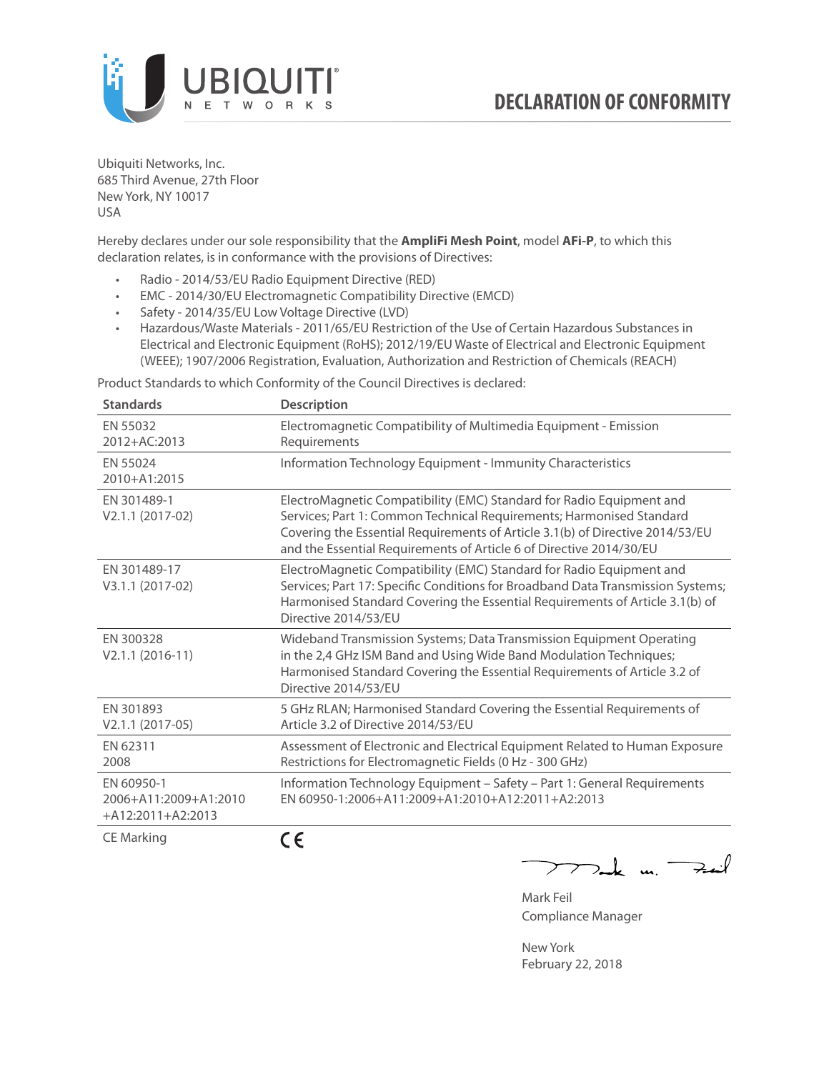

Ubiquiti Networks, Inc. 685 Third Avenue, 27th Floor New York, NY 10017 USA

Hereby declares under our sole responsibility that the **AmpliFi Mesh Point**, model **AFi-P**, to which this declaration relates, is in conformance with the provisions of Directives:

- Radio 2014/53/EU Radio Equipment Directive (RED)
- EMC 2014/30/EU Electromagnetic Compatibility Directive (EMCD)
- Safety 2014/35/EU Low Voltage Directive (LVD)
- Hazardous/Waste Materials 2011/65/EU Restriction of the Use of Certain Hazardous Substances in Electrical and Electronic Equipment (RoHS); 2012/19/EU Waste of Electrical and Electronic Equipment (WEEE); 1907/2006 Registration, Evaluation, Authorization and Restriction of Chemicals (REACH)

Product Standards to which Conformity of the Council Directives is declared:

| <b>Standards</b>                                           | <b>Description</b>                                                                                                                                                                                                                                                                                   |
|------------------------------------------------------------|------------------------------------------------------------------------------------------------------------------------------------------------------------------------------------------------------------------------------------------------------------------------------------------------------|
| EN 55032<br>2012+AC:2013                                   | Electromagnetic Compatibility of Multimedia Equipment - Emission<br>Requirements                                                                                                                                                                                                                     |
| EN 55024<br>2010+A1:2015                                   | Information Technology Equipment - Immunity Characteristics                                                                                                                                                                                                                                          |
| EN 301489-1<br>V2.1.1 (2017-02)                            | ElectroMagnetic Compatibility (EMC) Standard for Radio Equipment and<br>Services; Part 1: Common Technical Requirements; Harmonised Standard<br>Covering the Essential Requirements of Article 3.1(b) of Directive 2014/53/EU<br>and the Essential Requirements of Article 6 of Directive 2014/30/EU |
| EN 301489-17<br>V3.1.1 (2017-02)                           | ElectroMagnetic Compatibility (EMC) Standard for Radio Equipment and<br>Services; Part 17: Specific Conditions for Broadband Data Transmission Systems;<br>Harmonised Standard Covering the Essential Requirements of Article 3.1(b) of<br>Directive 2014/53/EU                                      |
| EN 300328<br>$V2.1.1 (2016-11)$                            | Wideband Transmission Systems; Data Transmission Equipment Operating<br>in the 2,4 GHz ISM Band and Using Wide Band Modulation Techniques;<br>Harmonised Standard Covering the Essential Requirements of Article 3.2 of<br>Directive 2014/53/EU                                                      |
| EN 301893<br>$V2.1.1 (2017-05)$                            | 5 GHz RLAN; Harmonised Standard Covering the Essential Requirements of<br>Article 3.2 of Directive 2014/53/EU                                                                                                                                                                                        |
| EN 62311<br>2008                                           | Assessment of Electronic and Electrical Equipment Related to Human Exposure<br>Restrictions for Electromagnetic Fields (0 Hz - 300 GHz)                                                                                                                                                              |
| EN 60950-1<br>2006+A11:2009+A1:2010<br>$+A12:2011+A2:2013$ | Information Technology Equipment - Safety - Part 1: General Requirements<br>EN 60950-1:2006+A11:2009+A1:2010+A12:2011+A2:2013                                                                                                                                                                        |
| $C = M \cdot 1$                                            | - -                                                                                                                                                                                                                                                                                                  |

CE Marking

CE

 $\nabla_{\mathbf{m}}$  k un  $\nabla_{\mathbf{m}}$  $\overline{\phantom{1}}$ 

Mark Feil Compliance Manager

New York February 22, 2018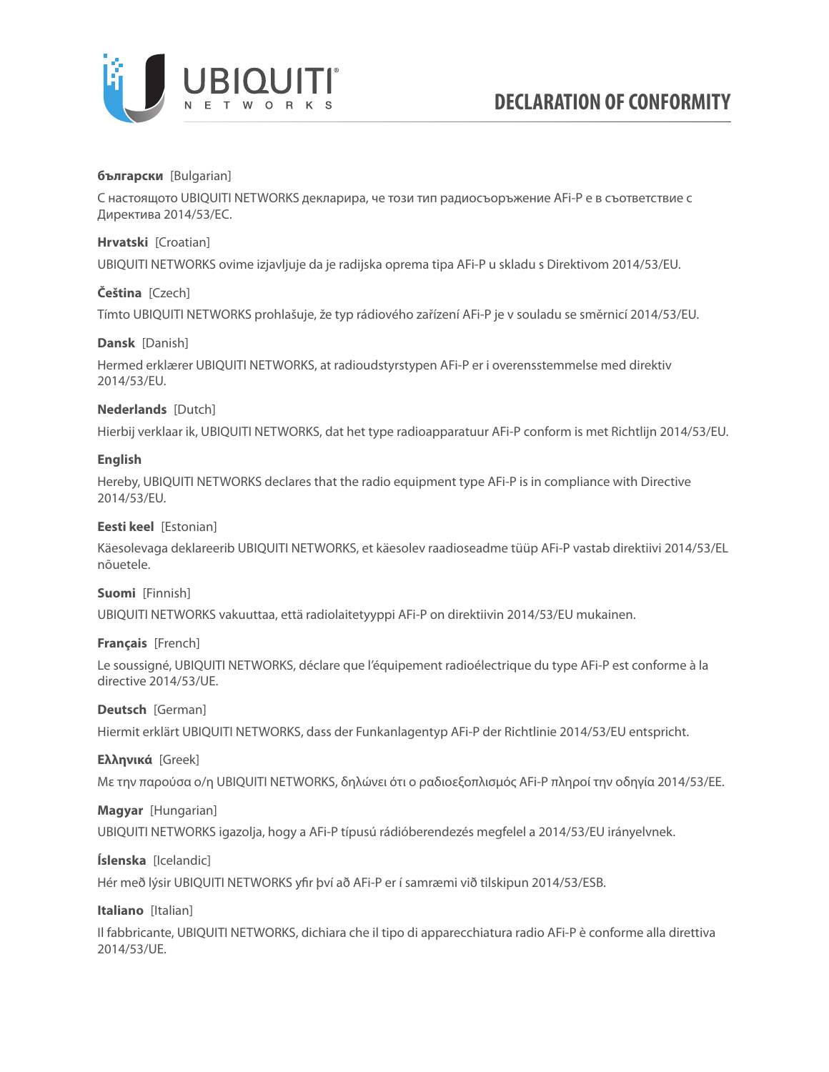

### **български** [Bulgarian]

С настоящото UBIQUITI NETWORKS декларира, че този тип радиосъоръжение AFi-P е в съответствие с Директива 2014/53/ЕС.

### **Hrvatski** [Croatian]

UBIQUITI NETWORKS ovime izjavljuje da je radijska oprema tipa AFi-P u skladu s Direktivom 2014/53/EU.

## **Čeština** [Czech]

Tímto UBIQUITI NETWORKS prohlašuje, že typ rádiového zařízení AFi-P je v souladu se směrnicí 2014/53/EU.

### **Dansk** [Danish]

Hermed erklærer UBIQUITI NETWORKS, at radioudstyrstypen AFi-P er i overensstemmelse med direktiv 2014/53/EU.

## **Nederlands** [Dutch]

Hierbij verklaar ik, UBIQUITI NETWORKS, dat het type radioapparatuur AFi-P conform is met Richtlijn 2014/53/EU.

## **English**

Hereby, UBIQUITI NETWORKS declares that the radio equipment type AFi-P is in compliance with Directive 2014/53/EU.

## **Eesti keel** [Estonian]

Käesolevaga deklareerib UBIQUITI NETWORKS, et käesolev raadioseadme tüüp AFi-P vastab direktiivi 2014/53/EL nõuetele.

### **Suomi** [Finnish]

UBIQUITI NETWORKS vakuuttaa, että radiolaitetyyppi AFi-P on direktiivin 2014/53/EU mukainen.

### **Français** [French]

Le soussigné, UBIQUITI NETWORKS, déclare que l'équipement radioélectrique du type AFi-P est conforme à la directive 2014/53/UE.

### **Deutsch** [German]

Hiermit erklärt UBIQUITI NETWORKS, dass der Funkanlagentyp AFi-P der Richtlinie 2014/53/EU entspricht.

### **Ελληνικά** [Greek]

Με την παρούσα ο/η UBIQUITI NETWORKS, δηλώνει ότι ο ραδιοεξοπλισμός AFi-P πληροί την οδηγία 2014/53/ΕΕ.

### **Magyar** [Hungarian]

UBIQUITI NETWORKS igazolja, hogy a AFi-P típusú rádióberendezés megfelel a 2014/53/EU irányelvnek.

# **Íslenska** [Icelandic]

Hér með lýsir UBIQUITI NETWORKS yfir því að AFi-P er í samræmi við tilskipun 2014/53/ESB.

### **Italiano** [Italian]

Il fabbricante, UBIQUITI NETWORKS, dichiara che il tipo di apparecchiatura radio AFi-P è conforme alla direttiva 2014/53/UE.